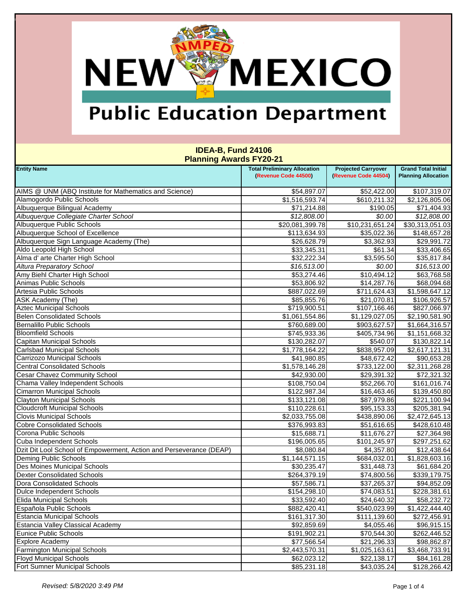### MEXICO **NEW®**

## **Public Education Department**

| <u>ı lanınıy Awarus III ZU-Z i</u>                                  |                                     |                            |                             |  |  |
|---------------------------------------------------------------------|-------------------------------------|----------------------------|-----------------------------|--|--|
| <b>Entity Name</b>                                                  | <b>Total Preliminary Allocation</b> | <b>Projected Carryover</b> | <b>Grand Total Initial</b>  |  |  |
|                                                                     | (Revenue Code 44500)                | (Revenue Code 44504)       | <b>Planning Allocation</b>  |  |  |
| AIMS @ UNM (ABQ Institute for Mathematics and Science)              | \$54,897.07                         | \$52,422.00                | \$107,319.07                |  |  |
| Alamogordo Public Schools                                           | $\overline{$1,516,593.74}$          | \$610,211.32               | $\overline{$2,126,805.06}$  |  |  |
| Albuquerque Bilingual Academy                                       | \$71,214.88                         | \$190.05                   | \$71,404.93                 |  |  |
| Albuquerque Collegiate Charter School                               | \$12,808.00                         | \$0.00                     | \$12,808.00                 |  |  |
| Albuquerque Public Schools                                          | \$20,081,399.78                     | \$10,231,651.24            | $\overline{$30,313,051.03}$ |  |  |
| Albuquerque School of Excellence                                    |                                     |                            |                             |  |  |
| Albuquerque Sign Language Academy (The)                             | \$113,634.93                        | \$35,022.36                | \$148,657.28                |  |  |
| Aldo Leopold High School                                            | \$26,628.79                         | \$3,362.93                 | \$29,991.72                 |  |  |
|                                                                     | \$33,345.31                         | \$61.34                    | \$33,406.65                 |  |  |
| Alma d' arte Charter High School                                    | \$32,222.34                         | \$3,595.50                 | \$35,817.84                 |  |  |
| <b>Altura Preparatory School</b>                                    | \$16,513.00                         | \$0.00                     | \$16,513.00                 |  |  |
| Amy Biehl Charter High School                                       | \$53,274.46                         | \$10,494.12                | \$63,768.58                 |  |  |
| Animas Public Schools                                               | \$53,806.92                         | \$14,287.76                | \$68,094.68                 |  |  |
| Artesia Public Schools                                              | \$887,022.69                        | \$711,624.43               | \$1,598,647.12              |  |  |
| ASK Academy (The)                                                   | \$85,855.76                         | \$21,070.81                | \$106,926.57                |  |  |
| <b>Aztec Municipal Schools</b>                                      | \$719,900.51                        | \$107,166.46               | \$827,066.97                |  |  |
| <b>Belen Consolidated Schools</b>                                   | \$1,061,554.86                      | \$1,129,027.05             | \$2,190,581.90              |  |  |
| <b>Bernalillo Public Schools</b>                                    | \$760,689.00                        | \$903,627.57               | \$1,664,316.57              |  |  |
| <b>Bloomfield Schools</b>                                           | \$745,933.36                        | \$405,734.96               | \$1,151,668.32              |  |  |
| Capitan Municipal Schools                                           | \$130,282.07                        | \$540.07                   | \$130,822.14                |  |  |
| <b>Carlsbad Municipal Schools</b>                                   | \$1,778,164.22                      | \$838,957.09               | \$2,617,121.31              |  |  |
| Carrizozo Municipal Schools                                         | \$41,980.85                         | \$48,672.42                | \$90,653.28                 |  |  |
| <b>Central Consolidated Schools</b>                                 | \$1,578,146.28                      | \$733,122.00               | \$2,311,268.28              |  |  |
| <b>Cesar Chavez Community School</b>                                | \$42,930.00                         | \$29,391.32                | \$72,321.32                 |  |  |
| Chama Valley Independent Schools                                    | \$108,750.04                        | \$52,266.70                | \$161,016.74                |  |  |
| <b>Cimarron Municipal Schools</b>                                   | \$122,987.34                        | \$16,463.46                | \$139,450.80                |  |  |
| <b>Clayton Municipal Schools</b>                                    | \$133,121.08                        | \$87,979.86                | \$221,100.94                |  |  |
| <b>Cloudcroft Municipal Schools</b>                                 | \$110,228.61                        | \$95,153.33                | \$205,381.94                |  |  |
| <b>Clovis Municipal Schools</b>                                     | \$2,033,755.08                      | \$438,890.06               | \$2,472,645.13              |  |  |
| <b>Cobre Consolidated Schools</b>                                   | \$376,993.83                        | \$51,616.65                | \$428,610.48                |  |  |
| Corona Public Schools                                               | \$15,688.71                         | \$11,676.27                | \$27,364.98                 |  |  |
| Cuba Independent Schools                                            | \$196,005.65                        | \$101,245.97               | \$297,251.62                |  |  |
| Dzit Dit Lool School of Empowerment, Action and Perseverance (DEAP) | \$8,080.84                          | \$4,357.80                 | \$12,438.64                 |  |  |
| Deming Public Schools                                               | \$1,144,571.15                      | \$684,032.01               | \$1,828,603.16              |  |  |
| <b>Des Moines Municipal Schools</b>                                 | \$30,235.47                         | \$31,448.73                | \$61,684.20                 |  |  |
| <b>Dexter Consolidated Schools</b>                                  | \$264,379.19                        | \$74,800.56                | \$339,179.75                |  |  |
| Dora Consolidated Schools                                           | \$57,586.71                         | \$37,265.37                | \$94,852.09                 |  |  |
| Dulce Independent Schools                                           | \$154,298.10                        | \$74,083.51                | \$228,381.61                |  |  |
| <b>Elida Municipal Schools</b>                                      | \$33,592.40                         | \$24,640.32                | \$58,232.72                 |  |  |
| Española Public Schools                                             | \$882,420.41                        | \$540,023.99               | \$1,422,444.40              |  |  |
| <b>Estancia Municipal Schools</b>                                   | \$161,317.30                        | \$111,139.60               | \$272,456.91                |  |  |
| <b>Estancia Valley Classical Academy</b>                            | \$92,859.69                         | \$4,055.46                 | \$96,915.15                 |  |  |
| <b>Eunice Public Schools</b>                                        | \$191,902.21                        | \$70,544.30                | \$262,446.52                |  |  |
| <b>Explore Academy</b>                                              | \$77,566.54                         | \$21,296.33                | \$98,862.87                 |  |  |
| <b>Farmington Municipal Schools</b>                                 | \$2,443,570.31                      | \$1,025,163.61             | \$3,468,733.91              |  |  |
| <b>Floyd Municipal Schools</b>                                      | \$62,023.12                         | \$22,138.17                | \$84,161.28                 |  |  |
| Fort Sumner Municipal Schools                                       | \$85,231.18                         | \$43,035.24                | \$128,266.42                |  |  |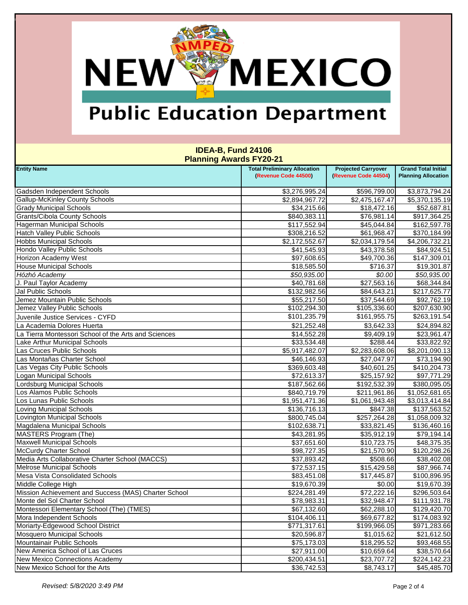### MEXICO **NEW®**

## **Public Education Department**

| <u>1911 – 1911 – 1921 – 1921 – 1922 – 1923 – 1924 – 1925 – 1926 – 1927 – 1928 – 1928 – 1928 – 1928 – 1928 – 1928 </u> |                                     |                            |                            |
|-----------------------------------------------------------------------------------------------------------------------|-------------------------------------|----------------------------|----------------------------|
| <b>Entity Name</b>                                                                                                    | <b>Total Preliminary Allocation</b> | <b>Projected Carryover</b> | <b>Grand Total Initial</b> |
|                                                                                                                       | (Revenue Code 44500)                | (Revenue Code 44504)       | <b>Planning Allocation</b> |
| Gadsden Independent Schools                                                                                           | \$3,276,995.24                      | \$596,799.00               | \$3,873,794.24             |
| <b>Gallup-McKinley County Schools</b>                                                                                 | \$2,894,967.72                      | \$2,475,167.47             | \$5,370,135.19             |
| <b>Grady Municipal Schools</b>                                                                                        | \$34,215.66                         | \$18,472.16                | \$52,687.81                |
| <b>Grants/Cibola County Schools</b>                                                                                   | \$840,383.11                        | \$76,981.14                | \$917,364.25               |
| Hagerman Municipal Schools                                                                                            | \$117,552.94                        | \$45,044.84                | \$162,597.78               |
| <b>Hatch Valley Public Schools</b>                                                                                    | \$308,216.52                        | \$61,968.47                | \$370,184.99               |
| <b>Hobbs Municipal Schools</b>                                                                                        | \$2,172,552.67                      | \$2,034,179.54             | \$4,206,732.21             |
| Hondo Valley Public Schools                                                                                           | \$41,545.93                         | \$43,378.58                | \$84,924.51                |
| <b>Horizon Academy West</b>                                                                                           | \$97,608.65                         | \$49,700.36                | \$147,309.01               |
| <b>House Municipal Schools</b>                                                                                        | \$18,585.50                         | \$716.37                   | \$19,301.87                |
| Hózhó Academy                                                                                                         | \$50,935.00                         | \$0.00                     | \$50,935.00                |
| J. Paul Taylor Academy                                                                                                | \$40,781.68                         | \$27,563.16                | \$68,344.84                |
| Jal Public Schools                                                                                                    | \$132,982.56                        | \$84,643.21                | \$217,625.77               |
| Jemez Mountain Public Schools                                                                                         | \$55,217.50                         | \$37,544.69                | \$92,762.19                |
| Jemez Valley Public Schools                                                                                           | \$102,294.30                        | \$105,336.60               | \$207,630.90               |
| Juvenile Justice Services - CYFD                                                                                      | \$101,235.79                        | \$161,955.75               | \$263,191.54               |
| La Academia Dolores Huerta                                                                                            | \$21,252.48                         | \$3,642.33                 | \$24,894.82                |
| La Tierra Montessori School of the Arts and Sciences                                                                  | \$14,552.28                         | \$9,409.19                 | \$23,961.47                |
| Lake Arthur Municipal Schools                                                                                         | \$33,534.48                         | \$288.44                   | \$33,822.92                |
| Las Cruces Public Schools                                                                                             | \$5,917,482.07                      | \$2,283,608.06             | \$8,201,090.13             |
| Las Montañas Charter School                                                                                           | \$46,146.93                         | \$27,047.97                | \$73,194.90                |
| Las Vegas City Public Schools                                                                                         | \$369,603.48                        | \$40,601.25                | \$410,204.73               |
| <b>Logan Municipal Schools</b>                                                                                        | \$72,613.37                         | \$25,157.92                | \$97,771.29                |
| Lordsburg Municipal Schools                                                                                           | \$187,562.66                        | \$192,532.39               | \$380,095.05               |
| Los Alamos Public Schools                                                                                             | \$840,719.79                        | \$211,961.86               | \$1,052,681.65             |
| Los Lunas Public Schools                                                                                              | \$1,951,471.36                      | \$1,061,943.48             | \$3,013,414.84             |
| <b>Loving Municipal Schools</b>                                                                                       | \$136,716.13                        | \$847.38                   | \$137,563.52               |
| Lovington Municipal Schools                                                                                           | \$800,745.04                        | \$257,264.28               | \$1,058,009.32             |
| Magdalena Municipal Schools                                                                                           | \$102,638.71                        | \$33,821.45                | \$136,460.16               |
| MASTERS Program (The)                                                                                                 | \$43,281.95                         | \$35,912.19                | \$79,194.14                |
| <b>Maxwell Municipal Schools</b>                                                                                      | \$37,651.60                         | \$10,723.75                | \$48,375.35                |
| <b>McCurdy Charter School</b>                                                                                         | \$98,727.35                         | \$21,570.90                | \$120,298.26               |
| Media Arts Collaborative Charter School (MACCS)                                                                       | \$37,893.42                         | \$508.66                   | \$38,402.08                |
| <b>Melrose Municipal Schools</b>                                                                                      | \$72,537.15                         | \$15,429.58                | \$87,966.74                |
| Mesa Vista Consolidated Schools                                                                                       | \$83,451.08                         | \$17,445.87                | \$100,896.95               |
| Middle College High                                                                                                   | \$19,670.39                         | \$0.00                     | \$19,670.39                |
| Mission Achievement and Success (MAS) Charter School                                                                  | \$224,281.49                        | \$72,222.16                | \$296,503.64               |
| Monte del Sol Charter School                                                                                          | \$78,983.31                         | \$32,948.47                | \$111,931.78               |
| Montessori Elementary School (The) (TMES)                                                                             | \$67,132.60                         | \$62,288.10                | \$129,420.70               |
| Mora Independent Schools                                                                                              | \$104,406.11                        | \$69,677.82                | \$174,083.92               |
| Moriarty-Edgewood School District                                                                                     | \$771,317.61                        | \$199,966.05               | \$971,283.66               |
| <b>Mosquero Municipal Schools</b>                                                                                     | \$20,596.87                         | \$1,015.62                 | \$21,612.50                |
| Mountainair Public Schools                                                                                            | \$75,173.03                         | \$18,295.52                | \$93,468.55                |
| New America School of Las Cruces                                                                                      | \$27,911.00                         | \$10,659.64                | \$38,570.64                |
| New Mexico Connections Academy                                                                                        | \$200,434.51                        | \$23,707.72                | \$224,142.23               |
| New Mexico School for the Arts                                                                                        | \$36,742.53                         | \$8,743.17                 | \$45,485.70                |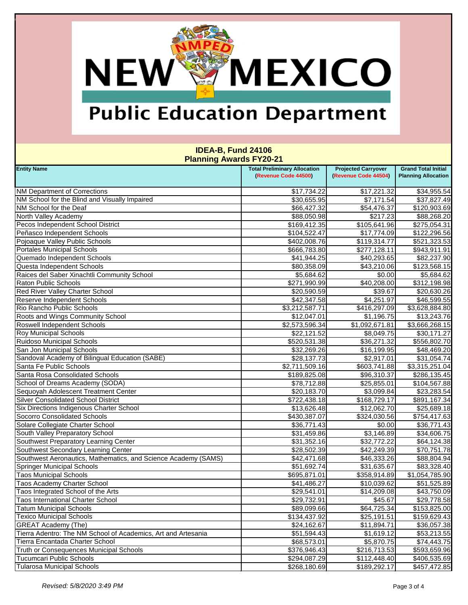# **NEW MEXICO**

## **Public Education Department**

| 101111111971100100112011                                       |                                                             |                                                    |                                                          |
|----------------------------------------------------------------|-------------------------------------------------------------|----------------------------------------------------|----------------------------------------------------------|
| <b>Entity Name</b>                                             | <b>Total Preliminary Allocation</b><br>(Revenue Code 44500) | <b>Projected Carryover</b><br>(Revenue Code 44504) | <b>Grand Total Initial</b><br><b>Planning Allocation</b> |
|                                                                |                                                             |                                                    |                                                          |
| <b>NM Department of Corrections</b>                            | \$17,734.22                                                 | \$17,221.32                                        | \$34,955.54                                              |
| NM School for the Blind and Visually Impaired                  | \$30,655.95                                                 | \$7,171.54                                         | \$37,827.49                                              |
| NM School for the Deaf                                         | \$66,427.32                                                 | \$54,476.37                                        | \$120,903.69                                             |
| North Valley Academy                                           | \$88,050.98                                                 | \$217.23                                           | \$88,268.20                                              |
| Pecos Independent School District                              | \$169,412.35                                                | \$105,641.96                                       | \$275,054.31                                             |
| Peñasco Independent Schools                                    | \$104,522.47                                                | \$17,774.09                                        | \$122,296.56                                             |
| Pojoaque Valley Public Schools                                 | \$402,008.76                                                | \$119,314.77                                       | \$521,323.53                                             |
| <b>Portales Municipal Schools</b>                              | \$666,783.80                                                | \$277,128.11                                       | \$943,911.91                                             |
| Quemado Independent Schools                                    | \$41,944.25                                                 | \$40,293.65                                        | \$82,237.90                                              |
| Questa Independent Schools                                     | \$80,358.09                                                 | \$43,210.06                                        | \$123,568.15                                             |
| Raices del Saber Xinachtli Community School                    | \$5,684.62                                                  | \$0.00                                             | \$5,684.62                                               |
| <b>Raton Public Schools</b>                                    | \$271,990.99                                                | \$40,208.00                                        | \$312,198.98                                             |
| Red River Valley Charter School                                | \$20,590.59                                                 | \$39.67                                            | \$20,630.26                                              |
| <b>Reserve Independent Schools</b>                             | \$42,347.58                                                 | \$4,251.97                                         | \$46,599.55                                              |
| Rio Rancho Public Schools                                      | \$3,212,587.71                                              | \$416,297.09                                       | \$3,628,884.80                                           |
| Roots and Wings Community School                               | \$12,047.01                                                 | \$1,196.75                                         | \$13,243.76                                              |
| <b>Roswell Independent Schools</b>                             | \$2,573,596.34                                              | \$1,092,671.81                                     | \$3,666,268.15                                           |
| <b>Roy Municipal Schools</b>                                   | \$22,121.52                                                 | \$8,049.75                                         | \$30,171.27                                              |
| <b>Ruidoso Municipal Schools</b>                               | \$520,531.38                                                | \$36,271.32                                        | \$556,802.70                                             |
| San Jon Municipal Schools                                      | \$32,269.26                                                 | \$16,199.95                                        | \$48,469.20                                              |
| Sandoval Academy of Bilingual Education (SABE)                 | \$28,137.73                                                 | \$2,917.01                                         | \$31,054.74                                              |
| Santa Fe Public Schools                                        | \$2,711,509.16                                              | \$603,741.88                                       | \$3,315,251.04                                           |
| Santa Rosa Consolidated Schools                                | \$189,825.08                                                | \$96,310.37                                        | \$286,135.45                                             |
| School of Dreams Academy (SODA)                                | \$78,712.88                                                 | \$25,855.01                                        | \$104,567.88                                             |
| Sequoyah Adolescent Treatment Center                           | \$20,183.70                                                 | \$3,099.84                                         | \$23,283.54                                              |
| <b>Silver Consolidated School District</b>                     | \$722,438.18                                                | \$168,729.17                                       | \$891,167.34                                             |
| Six Directions Indigenous Charter School                       | \$13,626.48                                                 | \$12,062.70                                        | \$25,689.18                                              |
| Socorro Consolidated Schools                                   | \$430,387.07                                                | \$324,030.56                                       | \$754,417.63                                             |
| Solare Collegiate Charter School                               | \$36,771.43                                                 | \$0.00                                             | \$36,771.43                                              |
| South Valley Preparatory School                                | \$31,459.86                                                 | \$3,146.89                                         | \$34,606.75                                              |
| Southwest Preparatory Learning Center                          | \$31,352.16                                                 | \$32,772.22                                        | \$64,124.38                                              |
| Southwest Secondary Learning Center                            | \$28,502.39                                                 | \$42,249.39                                        | \$70,751.78                                              |
| Southwest Aeronautics, Mathematics, and Science Academy (SAMS) | \$42,471.68                                                 | \$46,333.26                                        | \$88,804.94                                              |
| <b>Springer Municipal Schools</b>                              | \$51,692.74                                                 | \$31,635.67                                        | \$83,328.40                                              |
| <b>Taos Municipal Schools</b>                                  | \$695,871.01                                                | \$358,914.89                                       | \$1,054,785.90                                           |
| Taos Academy Charter School                                    | \$41,486.27                                                 | \$10,039.62                                        | \$51,525.89                                              |
| Taos Integrated School of the Arts                             | \$29,541.01                                                 | \$14,209.08                                        | \$43,750.09                                              |
| <b>Taos International Charter School</b>                       | \$29,732.91                                                 | \$45.67                                            | \$29,778.58                                              |
| <b>Tatum Municipal Schools</b>                                 | \$89,099.66                                                 | \$64,725.34                                        | \$153,825.00                                             |
| <b>Texico Municipal Schools</b>                                | \$134,437.92                                                | \$25,191.51                                        | \$159,629.43                                             |
| <b>GREAT Academy (The)</b>                                     | \$24,162.67                                                 | \$11,894.71                                        | \$36,057.38                                              |
| Tierra Adentro: The NM School of Academics, Art and Artesania  | \$51,594.43                                                 | \$1,619.12                                         | \$53,213.55                                              |
| Tierra Encantada Charter School                                | \$68,573.01                                                 | \$5,870.75                                         | \$74,443.75                                              |
| Truth or Consequences Municipal Schools                        | \$376,946.43                                                | \$216,713.53                                       | \$593,659.96                                             |
| <b>Tucumcari Public Schools</b>                                | \$294,087.29                                                | \$112,448.40                                       | \$406,535.69                                             |
| <b>Tularosa Municipal Schools</b>                              | \$268,180.69                                                | \$189,292.17                                       | \$457,472.85                                             |